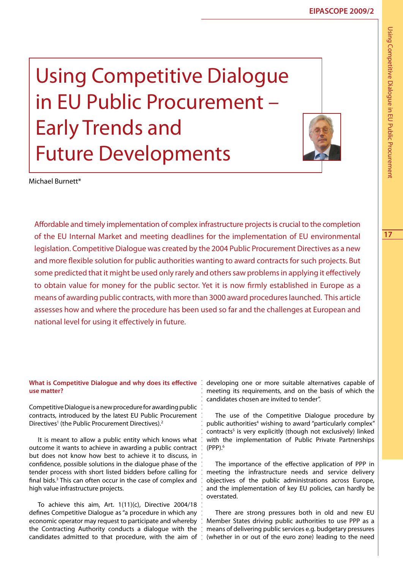**17**

Using Competitive Dialogue in EU Public Procurement – Early Trends and Future Developments



Michael Burnett\*

Affordable and timely implementation of complex infrastructure projects is crucial to the completion of the EU Internal Market and meeting deadlines for the implementation of EU environmental legislation. Competitive Dialogue was created by the 2004 Public Procurement Directives as a new and more flexible solution for public authorities wanting to award contracts for such projects. But some predicted that it might be used only rarely and others saw problems in applying it effectively to obtain value for money for the public sector. Yet it is now firmly established in Europe as a means of awarding public contracts, with more than 3000 award procedures launched. This article assesses how and where the procedure has been used so far and the challenges at European and national level for using it effectively in future.

#### **What is Competitive Dialogue and why does its effective use matter?**

Competitive Dialogue is a new procedure for awarding public contracts, introduced by the latest EU Public Procurement Directives<sup>1</sup> (the Public Procurement Directives).<sup>2</sup>

It is meant to allow a public entity which knows what outcome it wants to achieve in awarding a public contract but does not know how best to achieve it to discuss, in confidence, possible solutions in the dialogue phase of the tender process with short listed bidders before calling for final bids.<sup>3</sup> This can often occur in the case of complex and high value infrastructure projects.

To achieve this aim, Art. 1(11)(c), Directive 2004/18 defines Competitive Dialogue as "a procedure in which any economic operator may request to participate and whereby the Contracting Authority conducts a dialogue with the candidates admitted to that procedure, with the aim of

developing one or more suitable alternatives capable of meeting its requirements, and on the basis of which the candidates chosen are invited to tender".

The use of the Competitive Dialogue procedure by public authorities<sup>4</sup> wishing to award "particularly complex" contracts<sup>5</sup> is very explicitly (though not exclusively) linked with the implementation of Public Private Partnerships (PPP).6

The importance of the effective application of PPP in meeting the infrastructure needs and service delivery objectives of the public administrations across Europe, and the implementation of key EU policies, can hardly be overstated.

There are strong pressures both in old and new EU Member States driving public authorities to use PPP as a means of delivering public services e.g. budgetary pressures (whether in or out of the euro zone) leading to the need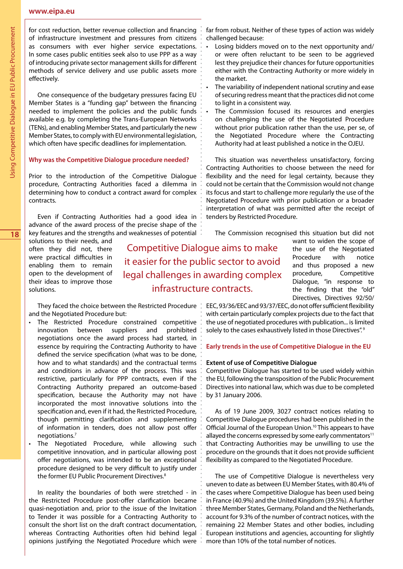for cost reduction, better revenue collection and financing of infrastructure investment and pressures from citizens as consumers with ever higher service expectations. In some cases public entities seek also to use PPP as a way of introducing private sector management skills for different methods of service delivery and use public assets more effectively.

One consequence of the budgetary pressures facing EU Member States is a "funding gap" between the financing needed to implement the policies and the public funds available e.g. by completing the Trans-European Networks (TENs), and enabling Member States, and particularly the new Member States, to comply with EU environmental legislation, which often have specific deadlines for implementation.

## **Why was the Competitive Dialogue procedure needed?**

Prior to the introduction of the Competitive Dialogue procedure, Contracting Authorities faced a dilemma in determining how to conduct a contract award for complex contracts.

Even if Contracting Authorities had a good idea in advance of the award process of the precise shape of the key features and the strengths and weaknesses of potential

solutions to their needs, and often they did not, there were practical difficulties in enabling them to remain open to the development of their ideas to improve those solutions.

Competitive Dialogue aims to make it easier for the public sector to avoid legal challenges in awarding complex infrastructure contracts.

procedure, Competitive Dialogue, "in response to the finding that the "old" Directives, Directives 92/50/

They faced the choice between the Restricted Procedure: and the Negotiated Procedure but:

- • The Restricted Procedure constrained competitive innovation between suppliers and prohibited negotiations once the award process had started, in essence by requiring the Contracting Authority to have defined the service specification (what was to be done, how and to what standards) and the contractual terms and conditions in advance of the process. This was restrictive, particularly for PPP contracts, even if the Contracting Authority prepared an outcome-based specification, because the Authority may not have incorporated the most innovative solutions into the specification and, even if it had, the Restricted Procedure, though permitting clarification and supplementing of information in tenders, does not allow post offer negotiations.7
- The Negotiated Procedure, while allowing such competitive innovation, and in particular allowing post offer negotiations, was intended to be an exceptional procedure designed to be very difficult to justify under the former EU Public Procurement Directives.<sup>8</sup>

In reality the boundaries of both were stretched - in the Restricted Procedure post-offer clarification became quasi-negotiation and, prior to the issue of the Invitation to Tender it was possible for a Contracting Authority to consult the short list on the draft contract documentation, whereas Contracting Authorities often hid behind legal opinions justifying the Negotiated Procedure which were EEC, 93/36/EEC and 93/37/EEC, do not offer sufficient flexibility with certain particularly complex projects due to the fact that the use of negotiated procedures with publication... is limited solely to the cases exhaustively listed in those Directives".<sup>9</sup>

# **Early trends in the use of Competitive Dialogue in the EU**

### **Extent of use of Competitive Dialogue**

Competitive Dialogue has started to be used widely within the EU, following the transposition of the Public Procurement Directives into national law, which was due to be completed by 31 January 2006.

As of 19 June 2009, 3027 contract notices relating to Competitive Dialogue procedures had been published in the Official Journal of the European Union.10 This appears to have allayed the concerns expressed by some early commentators $11$ that Contracting Authorities may be unwilling to use the procedure on the grounds that it does not provide sufficient flexibility as compared to the Negotiated Procedure.

The use of Competitive Dialogue is nevertheless very uneven to date as between EU Member States, with 80.4% of the cases where Competitive Dialogue has been used being in France (40.9%) and the United Kingdom (39.5%). A further three Member States, Germany, Poland and the Netherlands, account for 9.3% of the number of contract notices, with the remaining 22 Member States and other bodies, including European institutions and agencies, accounting for slightly more than 10% of the total number of notices.

- Losing bidders moved on to the next opportunity and/ or were often reluctant to be seen to be aggrieved lest they prejudice their chances for future opportunities either with the Contracting Authority or more widely in the market.
- The variability of independent national scrutiny and ease of securing redress meant that the practices did not come to light in a consistent way.
- The Commission focused its resources and energies on challenging the use of the Negotiated Procedure without prior publication rather than the use, per se, of the Negotiated Procedure where the Contracting Authority had at least published a notice in the OJEU.

This situation was nevertheless unsatisfactory, forcing Contracting Authorities to choose between the need for flexibility and the need for legal certainty, because they could not be certain that the Commission would not change its focus and start to challenge more regularly the use of the Negotiated Procedure with prior publication or a broader interpretation of what was permitted after the receipt of tenders by Restricted Procedure.

The Commission recognised this situation but did not want to widen the scope of

> the use of the Negotiated Procedure with notice and thus proposed a new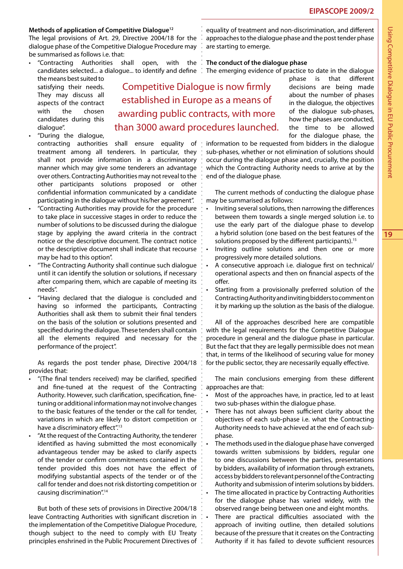# **Methods of application of Competitive Dialogue12**

The legal provisions of Art. 29, Directive 2004/18 for the dialogue phase of the Competitive Dialogue Procedure may be summarised as follows i.e. that:

"Contracting Authorities shall open, with the

the means best suited to satisfying their needs. They may discuss all aspects of the contract with the chosen candidates during this dialogue".

- "During the dialogue, contracting authorities shall ensure equality of treatment among all tenderers. In particular, they shall not provide information in a discriminatory manner which may give some tenderers an advantage over others. Contracting Authorities may not reveal to the other participants solutions proposed or other confidential information communicated by a candidate participating in the dialogue without his/her agreement".
- • "Contracting Authorities may provide for the procedure to take place in successive stages in order to reduce the number of solutions to be discussed during the dialogue stage by applying the award criteria in the contract notice or the descriptive document. The contract notice or the descriptive document shall indicate that recourse may be had to this option".
- "The Contracting Authority shall continue such dialogue until it can identify the solution or solutions, if necessary after comparing them, which are capable of meeting its needs".
- "Having declared that the dialogue is concluded and having so informed the participants, Contracting Authorities shall ask them to submit their final tenders on the basis of the solution or solutions presented and specified during the dialogue. These tenders shall contain all the elements required and necessary for the performance of the project".

As regards the post tender phase, Directive 2004/18 provides that:

- "(The final tenders received) may be clarified, specified and fine-tuned at the request of the Contracting Authority. However, such clarification, specification, finetuning or additional information may not involve changes to the basic features of the tender or the call for tender, variations in which are likely to distort competition or have a discriminatory effect".<sup>13</sup>
- "At the request of the Contracting Authority, the tenderer identified as having submitted the most economically advantageous tender may be asked to clarify aspects of the tender or confirm commitments contained in the tender provided this does not have the effect of modifying substantial aspects of the tender or of the call for tender and does not risk distorting competition or causing discrimination".14

But both of these sets of provisions in Directive 2004/18 leave Contracting Authorities with significant discretion in the implementation of the Competitive Dialogue Procedure, though subject to the need to comply with EU Treaty principles enshrined in the Public Procurement Directives of

equality of treatment and non-discrimination, and different approaches to the dialogue phase and the post tender phase are starting to emerge.

# **The conduct of the dialogue phase**

Competitive Dialogue is now firmly established in Europe as a means of

awarding public contracts, with more

than 3000 award procedures launched.

candidates selected... a dialogue... to identify and define : The emerging evidence of practice to date in the dialogue

phase is that different decisions are being made about the number of phases in the dialogue, the objectives of the dialogue sub-phases, how the phases are conducted, the time to be allowed for the dialogue phase, the

information to be requested from bidders in the dialogue sub-phases, whether or not elimination of solutions should occur during the dialogue phase and, crucially, the position which the Contracting Authority needs to arrive at by the end of the dialogue phase.

The current methods of conducting the dialogue phase may be summarised as follows:

- Inviting several solutions, then narrowing the differences between them towards a single merged solution i.e. to use the early part of the dialogue phase to develop a hybrid solution (one based on the best features of the solutions proposed by the different participants).<sup>15</sup>
- Inviting outline solutions and then one or more progressively more detailed solutions.
- A consecutive approach i.e. dialogue first on technical/ operational aspects and then on financial aspects of the offer.
- • Starting from a provisionally preferred solution of the Contracting Authority and inviting bidders to comment on it by marking up the solution as the basis of the dialogue.

All of the approaches described here are compatible with the legal requirements for the Competitive Dialogue procedure in general and the dialogue phase in particular. But the fact that they are legally permissible does not mean that, in terms of the likelihood of securing value for money for the public sector, they are necessarily equally effective.

The main conclusions emerging from these different approaches are that:

- Most of the approaches have, in practice, led to at least two sub-phases within the dialogue phase.
- There has not always been sufficient clarity about the objectives of each sub-phase i.e. what the Contracting Authority needs to have achieved at the end of each subphase.
- • The methods used in the dialogue phase have converged towards written submissions by bidders, regular one to one discussions between the parties, presentations by bidders, availability of information through extranets, access by bidders to relevant personnel of the Contracting Authority and submission of interim solutions by bidders. The time allocated in practice by Contracting Authorities for the dialogue phase has varied widely, with the observed range being between one and eight months.
	- There are practical difficulties associated with the approach of inviting outline, then detailed solutions because of the pressure that it creates on the Contracting Authority if it has failed to devote sufficient resources

**19**

Using Competitive Dialogue in EU Public Procurement

Using Competitive Dialogue in EU Public Procurement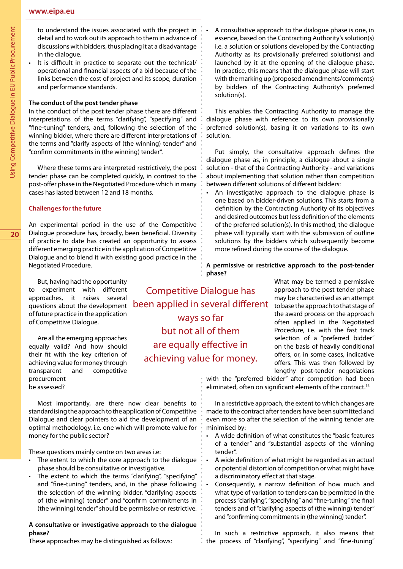**20**

to understand the issues associated with the project in detail and to work out its approach to them in advance of discussions with bidders, thus placing it at a disadvantage in the dialogue.

It is difficult in practice to separate out the technical/ operational and financial aspects of a bid because of the links between the cost of project and its scope, duration and performance standards.

# **The conduct of the post tender phase**

In the conduct of the post tender phase there are different interpretations of the terms "clarifying", "specifying" and "fine-tuning" tenders, and, following the selection of the winning bidder, where there are different interpretations of the terms and "clarify aspects of (the winning) tender" and "confirm commitments in (the winning) tender".

Where these terms are interpreted restrictively, the post tender phase can be completed quickly, in contrast to the post-offer phase in the Negotiated Procedure which in many cases has lasted between 12 and 18 months.

# **Challenges for the future**

An experimental period in the use of the Competitive Dialogue procedure has, broadly, been beneficial. Diversity of practice to date has created an opportunity to assess different emerging practice in the application of Competitive Dialogue and to blend it with existing good practice in the Negotiated Procedure.

But, having had the opportunity to experiment with different approaches, it raises several questions about the development of future practice in the application of Competitive Dialogue.

Are all the emerging approaches equally valid? And how should their fit with the key criterion of achieving value for money through transparent and competitive procurement be assessed?

Most importantly, are there now clear benefits to standardising the approach to the application of Competitive Dialogue and clear pointers to aid the development of an optimal methodology, i.e. one which will promote value for money for the public sector?

These questions mainly centre on two areas i.e:

- The extent to which the core approach to the dialogue phase should be consultative or investigative.
- The extent to which the terms "clarifying", "specifying" and "fine-tuning" tenders, and, in the phase following the selection of the winning bidder, "clarifying aspects of (the winning) tender" and "confirm commitments in (the winning) tender" should be permissive or restrictive.

## **A consultative or investigative approach to the dialogue phase?**

These approaches may be distinguished as follows:

Competitive Dialogue has been applied in several different ways so far but not all of them are equally effective in achieving value for money.

A consultative approach to the dialogue phase is one, in essence, based on the Contracting Authority's solution(s) i.e. a solution or solutions developed by the Contracting Authority as its provisionally preferred solution(s) and launched by it at the opening of the dialogue phase. In practice, this means that the dialogue phase will start with the marking up (proposed amendments/comments) by bidders of the Contracting Authority's preferred solution(s).

This enables the Contracting Authority to manage the dialogue phase with reference to its own provisionally preferred solution(s), basing it on variations to its own solution.

Put simply, the consultative approach defines the dialogue phase as, in principle, a dialogue about a single solution - that of the Contracting Authority - and variations about implementing that solution rather than competition between different solutions of different bidders:

An investigative approach to the dialogue phase is one based on bidder-driven solutions. This starts from a definition by the Contracting Authority of its objectives and desired outcomes but less definition of the elements of the preferred solution(s). In this method, the dialogue phase will typically start with the submission of outline solutions by the bidders which subsequently become more refined during the course of the dialogue.

**A permissive or restrictive approach to the post-tender phase?**

> What may be termed a permissive approach to the post tender phase may be characterised as an attempt to base the approach to that stage of the award process on the approach often applied in the Negotiated Procedure, i.e. with the fast track selection of a "preferred bidder" on the basis of heavily conditional offers, or, in some cases, indicative offers. This was then followed by lengthy post-tender negotiations

with the "preferred bidder" after competition had been eliminated, often on significant elements of the contract.<sup>16</sup>

In a restrictive approach, the extent to which changes are made to the contract after tenders have been submitted and even more so after the selection of the winning tender are minimised by:

- A wide definition of what constitutes the "basic features of a tender" and "substantial aspects of the winning tender".
- • A wide definition of what might be regarded as an actual or potential distortion of competition or what might have a discriminatory effect at that stage.
- Consequently, a narrow definition of how much and what type of variation to tenders can be permitted in the process "clarifying", "specifying" and "fine-tuning" the final tenders and of "clarifying aspects of (the winning) tender" and "confirming commitments in (the winning) tender".

In such a restrictive approach, it also means that the process of "clarifying", "specifying" and "fine-tuning"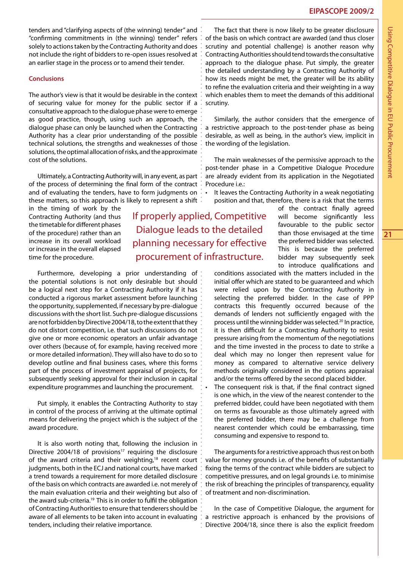tenders and "clarifying aspects of (the winning) tender" and "confirming commitments in (the winning) tender" refers solely to actions taken by the Contracting Authority and does not include the right of bidders to re-open issues resolved at an earlier stage in the process or to amend their tender.

#### **Conclusions**

The author's view is that it would be desirable in the context of securing value for money for the public sector if a consultative approach to the dialogue phase were to emerge as good practice, though, using such an approach, the dialogue phase can only be launched when the Contracting Authority has a clear prior understanding of the possible technical solutions, the strengths and weaknesses of those solutions, the optimal allocation of risks, and the approximate cost of the solutions.

Ultimately, a Contracting Authority will, in any event, as part of the process of determining the final form of the contract and of evaluating the tenders, have to form judgments on these matters, so this approach is likely to represent a shift

in the timing of work by the Contracting Authority (and thus the timetable for different phases of the procedure) rather than an increase in its overall workload or increase in the overall elapsed time for the procedure.

Furthermore, developing a prior understanding of the potential solutions is not only desirable but should be a logical next step for a Contracting Authority if it has conducted a rigorous market assessment before launching the opportunity, supplemented, if necessary by pre-dialogue discussions with the short list. Such pre-dialogue discussions are not forbidden by Directive 2004/18, to the extent that they do not distort competition, i.e. that such discussions do not give one or more economic operators an unfair advantage over others (because of, for example, having received more or more detailed information). They will also have to do so to develop outline and final business cases, where this forms part of the process of investment appraisal of projects, for subsequently seeking approval for their inclusion in capital expenditure programmes and launching the procurement.

Put simply, it enables the Contracting Authority to stay in control of the process of arriving at the ultimate optimal means for delivering the project which is the subject of the award procedure.

It is also worth noting that, following the inclusion in Directive 2004/18 of provisions<sup>17</sup> requiring the disclosure of the award criteria and their weighting,<sup>18</sup> recent court judgments, both in the ECJ and national courts, have marked a trend towards a requirement for more detailed disclosure of the basis on which contracts are awarded i.e. not merely of the main evaluation criteria and their weighting but also of the award sub-criteria.19 This is in order to fulfil the obligation of Contracting Authorities to ensure that tenderers should be aware of all elements to be taken into account in evaluating tenders, including their relative importance.

The fact that there is now likely to be greater disclosure of the basis on which contract are awarded (and thus closer scrutiny and potential challenge) is another reason why Contracting Authorities should tend towards the consultative approach to the dialogue phase. Put simply, the greater the detailed understanding by a Contracting Authority of how its needs might be met, the greater will be its ability to refine the evaluation criteria and their weighting in a way which enables them to meet the demands of this additional scrutiny.

Similarly, the author considers that the emergence of a restrictive approach to the post-tender phase as being desirable, as well as being, in the author's view, implicit in the wording of the legislation.

The main weaknesses of the permissive approach to the post-tender phase in a Competitive Dialogue Procedure are already evident from its application in the Negotiated Procedure i.e.:

• It leaves the Contracting Authority in a weak negotiating position and that, therefore, there is a risk that the terms

If properly applied, Competitive Dialogue leads to the detailed planning necessary for effective procurement of infrastructure.

of the contract finally agreed will become significantly less favourable to the public sector than those envisaged at the time the preferred bidder was selected. This is because the preferred bidder may subsequently seek to introduce qualifications and

conditions associated with the matters included in the initial offer which are stated to be guaranteed and which were relied upon by the Contracting Authority in selecting the preferred bidder. In the case of PPP contracts this frequently occurred because of the demands of lenders not sufficiently engaged with the process until the winning bidder was selected.20 In practice, it is then difficult for a Contracting Authority to resist pressure arising from the momentum of the negotiations and the time invested in the process to date to strike a deal which may no longer then represent value for money as compared to alternative service delivery methods originally considered in the options appraisal and/or the terms offered by the second placed bidder. The consequent risk is that, if the final contract signed is one which, in the view of the nearest contender to the preferred bidder, could have been negotiated with them on terms as favourable as those ultimately agreed with

the preferred bidder, there may be a challenge from nearest contender which could be embarrassing, time consuming and expensive to respond to.

The arguments for a restrictive approach thus rest on both value for money grounds i.e. of the benefits of substantially fixing the terms of the contract while bidders are subject to competitive pressures, and on legal grounds i.e. to minimise the risk of breaching the principles of transparency, equality of treatment and non-discrimination.

In the case of Competitive Dialogue, the argument for a restrictive approach is enhanced by the provisions of Directive 2004/18, since there is also the explicit freedom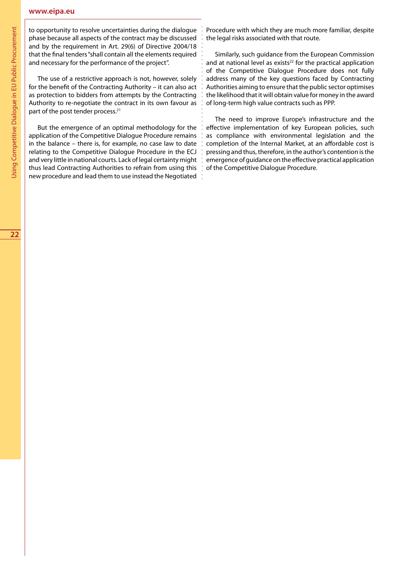### **www.eipa.eu**

to opportunity to resolve uncertainties during the dialogue phase because all aspects of the contract may be discussed and by the requirement in Art. 29(6) of Directive 2004/18 that the final tenders "shall contain all the elements required and necessary for the performance of the project".

The use of a restrictive approach is not, however, solely for the benefit of the Contracting Authority – it can also act as protection to bidders from attempts by the Contracting Authority to re-negotiate the contract in its own favour as part of the post tender process.<sup>21</sup>

But the emergence of an optimal methodology for the application of the Competitive Dialogue Procedure remains in the balance – there is, for example, no case law to date relating to the Competitive Dialogue Procedure in the ECJ and very little in national courts. Lack of legal certainty might thus lead Contracting Authorities to refrain from using this new procedure and lead them to use instead the Negotiated

Procedure with which they are much more familiar, despite the legal risks associated with that route.

Similarly, such guidance from the European Commission and at national level as exists $22$  for the practical application of the Competitive Dialogue Procedure does not fully address many of the key questions faced by Contracting Authorities aiming to ensure that the public sector optimises the likelihood that it will obtain value for money in the award of long-term high value contracts such as PPP.

The need to improve Europe's infrastructure and the effective implementation of key European policies, such as compliance with environmental legislation and the completion of the Internal Market, at an affordable cost is pressing and thus, therefore, in the author's contention is the emergence of guidance on the effective practical application of the Competitive Dialogue Procedure.